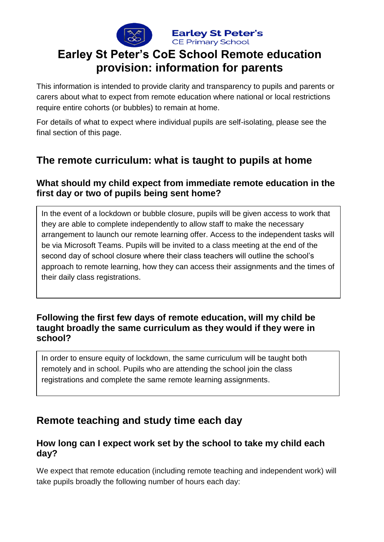

**Earley St Peter's CE Primary School** 

# **Earley St Peter's CoE School Remote education provision: information for parents**

This information is intended to provide clarity and transparency to pupils and parents or carers about what to expect from remote education where national or local restrictions require entire cohorts (or bubbles) to remain at home.

For details of what to expect where individual pupils are self-isolating, please see the final section of this page.

## **The remote curriculum: what is taught to pupils at home**

## **What should my child expect from immediate remote education in the first day or two of pupils being sent home?**

In the event of a lockdown or bubble closure, pupils will be given access to work that they are able to complete independently to allow staff to make the necessary arrangement to launch our remote learning offer. Access to the independent tasks will be via Microsoft Teams. Pupils will be invited to a class meeting at the end of the second day of school closure where their class teachers will outline the school's approach to remote learning, how they can access their assignments and the times of their daily class registrations.

#### **Following the first few days of remote education, will my child be taught broadly the same curriculum as they would if they were in school?**

In order to ensure equity of lockdown, the same curriculum will be taught both remotely and in school. Pupils who are attending the school join the class registrations and complete the same remote learning assignments.

## **Remote teaching and study time each day**

## **How long can I expect work set by the school to take my child each day?**

We expect that remote education (including remote teaching and independent work) will take pupils broadly the following number of hours each day: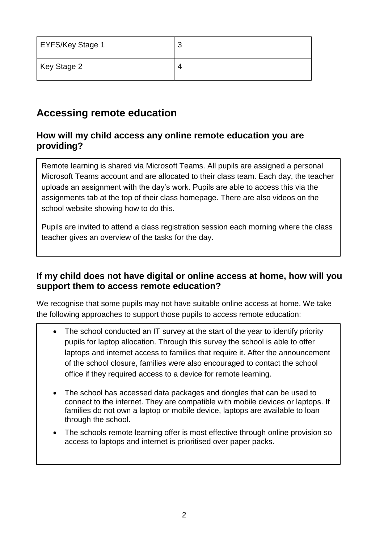| EYFS/Key Stage 1 | ◠ |
|------------------|---|
| Key Stage 2      |   |

# **Accessing remote education**

## **How will my child access any online remote education you are providing?**

Remote learning is shared via Microsoft Teams. All pupils are assigned a personal Microsoft Teams account and are allocated to their class team. Each day, the teacher uploads an assignment with the day's work. Pupils are able to access this via the assignments tab at the top of their class homepage. There are also videos on the school website showing how to do this.

Pupils are invited to attend a class registration session each morning where the class teacher gives an overview of the tasks for the day.

## **If my child does not have digital or online access at home, how will you support them to access remote education?**

We recognise that some pupils may not have suitable online access at home. We take the following approaches to support those pupils to access remote education:

- The school conducted an IT survey at the start of the year to identify priority pupils for laptop allocation. Through this survey the school is able to offer laptops and internet access to families that require it. After the announcement of the school closure, families were also encouraged to contact the school office if they required access to a device for remote learning.
- The school has accessed data packages and dongles that can be used to connect to the internet. They are compatible with mobile devices or laptops. If families do not own a laptop or mobile device, laptops are available to loan through the school.
- The schools remote learning offer is most effective through online provision so access to laptops and internet is prioritised over paper packs.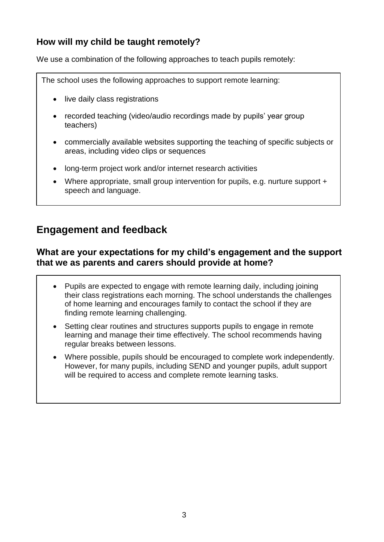## **How will my child be taught remotely?**

We use a combination of the following approaches to teach pupils remotely:

The school uses the following approaches to support remote learning:

- live daily class registrations
- recorded teaching (video/audio recordings made by pupils' year group teachers)
- commercially available websites supporting the teaching of specific subjects or areas, including video clips or sequences
- long-term project work and/or internet research activities
- Where appropriate, small group intervention for pupils, e.g. nurture support + speech and language.

## **Engagement and feedback**

#### **What are your expectations for my child's engagement and the support that we as parents and carers should provide at home?**

- Pupils are expected to engage with remote learning daily, including joining their class registrations each morning. The school understands the challenges of home learning and encourages family to contact the school if they are finding remote learning challenging.
- Setting clear routines and structures supports pupils to engage in remote learning and manage their time effectively. The school recommends having regular breaks between lessons.
- Where possible, pupils should be encouraged to complete work independently. However, for many pupils, including SEND and younger pupils, adult support will be required to access and complete remote learning tasks.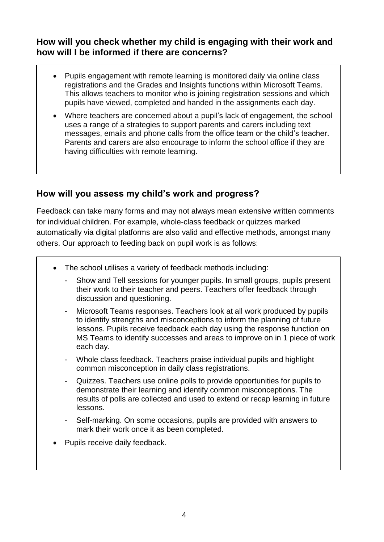## **How will you check whether my child is engaging with their work and how will I be informed if there are concerns?**

- Pupils engagement with remote learning is monitored daily via online class registrations and the Grades and Insights functions within Microsoft Teams. This allows teachers to monitor who is joining registration sessions and which pupils have viewed, completed and handed in the assignments each day.
- Where teachers are concerned about a pupil's lack of engagement, the school uses a range of a strategies to support parents and carers including text messages, emails and phone calls from the office team or the child's teacher. Parents and carers are also encourage to inform the school office if they are having difficulties with remote learning.

## **How will you assess my child's work and progress?**

Feedback can take many forms and may not always mean extensive written comments for individual children. For example, whole-class feedback or quizzes marked automatically via digital platforms are also valid and effective methods, amongst many others. Our approach to feeding back on pupil work is as follows:

- The school utilises a variety of feedback methods including:
	- Show and Tell sessions for younger pupils. In small groups, pupils present their work to their teacher and peers. Teachers offer feedback through discussion and questioning.
	- Microsoft Teams responses. Teachers look at all work produced by pupils to identify strengths and misconceptions to inform the planning of future lessons. Pupils receive feedback each day using the response function on MS Teams to identify successes and areas to improve on in 1 piece of work each day.
	- Whole class feedback. Teachers praise individual pupils and highlight common misconception in daily class registrations.
	- Quizzes. Teachers use online polls to provide opportunities for pupils to demonstrate their learning and identify common misconceptions. The results of polls are collected and used to extend or recap learning in future lessons.
	- Self-marking. On some occasions, pupils are provided with answers to mark their work once it as been completed.
- Pupils receive daily feedback.